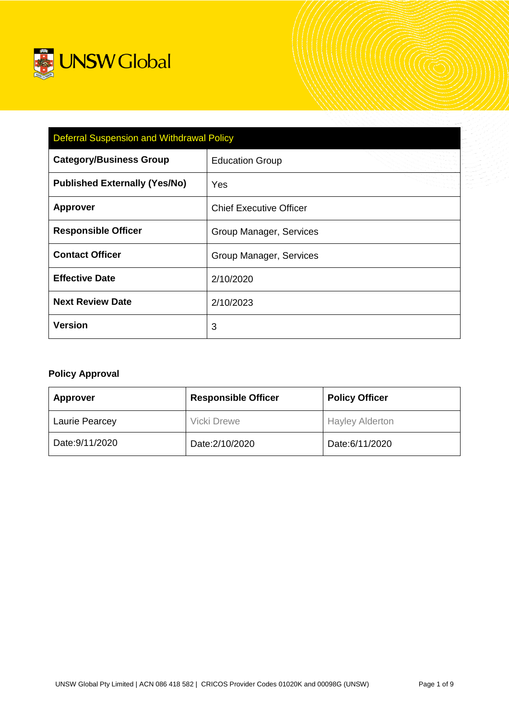

| <b>Deferral Suspension and Withdrawal Policy</b> |                                |  |  |
|--------------------------------------------------|--------------------------------|--|--|
| <b>Category/Business Group</b>                   | <b>Education Group</b>         |  |  |
| <b>Published Externally (Yes/No)</b>             | <b>Yes</b>                     |  |  |
| <b>Approver</b>                                  | <b>Chief Executive Officer</b> |  |  |
| <b>Responsible Officer</b>                       | Group Manager, Services        |  |  |
| <b>Contact Officer</b>                           | Group Manager, Services        |  |  |
| <b>Effective Date</b>                            | 2/10/2020                      |  |  |
| <b>Next Review Date</b>                          | 2/10/2023                      |  |  |
| <b>Version</b>                                   | 3                              |  |  |

# **Policy Approval**

| <b>Approver</b>       | <b>Responsible Officer</b> | <b>Policy Officer</b>  |
|-----------------------|----------------------------|------------------------|
| <b>Laurie Pearcey</b> | <b>Vicki Drewe</b>         | <b>Hayley Alderton</b> |
| Date: 9/11/2020       | Date: 2/10/2020            | Date:6/11/2020         |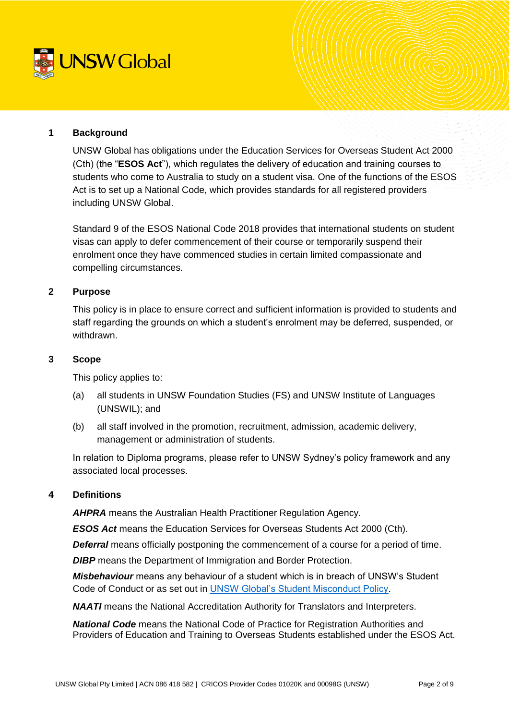

### **1 Background**

UNSW Global has obligations under the Education Services for Overseas Student Act 2000 (Cth) (the "**ESOS Act**"), which regulates the delivery of education and training courses to students who come to Australia to study on a student visa. One of the functions of the ESOS Act is to set up a National Code, which provides standards for all registered providers including UNSW Global.

Standard 9 of the ESOS National Code 2018 provides that international students on student visas can apply to defer commencement of their course or temporarily suspend their enrolment once they have commenced studies in certain limited compassionate and compelling circumstances.

### **2 Purpose**

This policy is in place to ensure correct and sufficient information is provided to students and staff regarding the grounds on which a student's enrolment may be deferred, suspended, or withdrawn.

#### **3 Scope**

This policy applies to:

- (a) all students in UNSW Foundation Studies (FS) and UNSW Institute of Languages (UNSWIL); and
- (b) all staff involved in the promotion, recruitment, admission, academic delivery, management or administration of students.

In relation to Diploma programs, please refer to UNSW Sydney's policy framework and any associated local processes.

#### **4 Definitions**

*AHPRA* means the Australian Health Practitioner Regulation Agency.

*ESOS Act* means the Education Services for Overseas Students Act 2000 (Cth).

**Deferral** means officially postponing the commencement of a course for a period of time.

**DIBP** means the Department of Immigration and Border Protection.

*Misbehaviour* means any behaviour of a student which is in breach of UNSW's Student Code of Conduct or as set out in [UNSW Global's Student Misconduct Policy.](https://intranet.unswglobal.unsw.edu.au/Policy/Policy/Student%20Misconduct%20Policy.pdf)

*NAATI* means the National Accreditation Authority for Translators and Interpreters.

*National Code* means the National Code of Practice for Registration Authorities and Providers of Education and Training to Overseas Students established under the ESOS Act.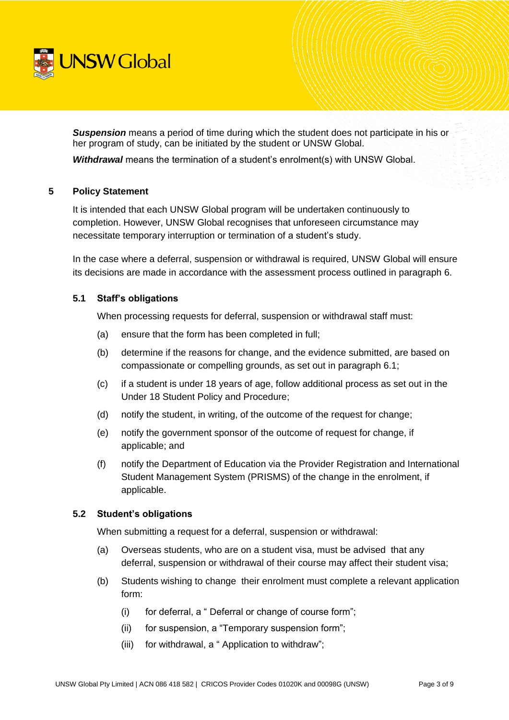

**Suspension** means a period of time during which the student does not participate in his or her program of study, can be initiated by the student or UNSW Global.

*Withdrawal* means the termination of a student's enrolment(s) with UNSW Global.

### **5 Policy Statement**

It is intended that each UNSW Global program will be undertaken continuously to completion. However, UNSW Global recognises that unforeseen circumstance may necessitate temporary interruption or termination of a student's study.

In the case where a deferral, suspension or withdrawal is required, UNSW Global will ensure its decisions are made in accordance with the assessment process outlined in paragraph 6.

### **5.1 Staff's obligations**

When processing requests for deferral, suspension or withdrawal staff must:

- (a) ensure that the form has been completed in full;
- (b) determine if the reasons for change, and the evidence submitted, are based on compassionate or compelling grounds, as set out in paragraph 6.1;
- (c) if a student is under 18 years of age, follow additional process as set out in the Under 18 Student Policy and Procedure;
- (d) notify the student, in writing, of the outcome of the request for change;
- (e) notify the government sponsor of the outcome of request for change, if applicable; and
- (f) notify the Department of Education via the Provider Registration and International Student Management System (PRISMS) of the change in the enrolment, if applicable.

# **5.2 Student's obligations**

When submitting a request for a deferral, suspension or withdrawal:

- (a) Overseas students, who are on a student visa, must be advised that any deferral, suspension or withdrawal of their course may affect their student visa;
- (b) Students wishing to change their enrolment must complete a relevant application form:
	- (i) for deferral, a " Deferral or change of course form";
	- (ii) for suspension, a "Temporary suspension form";
	- (iii) for withdrawal, a " Application to withdraw";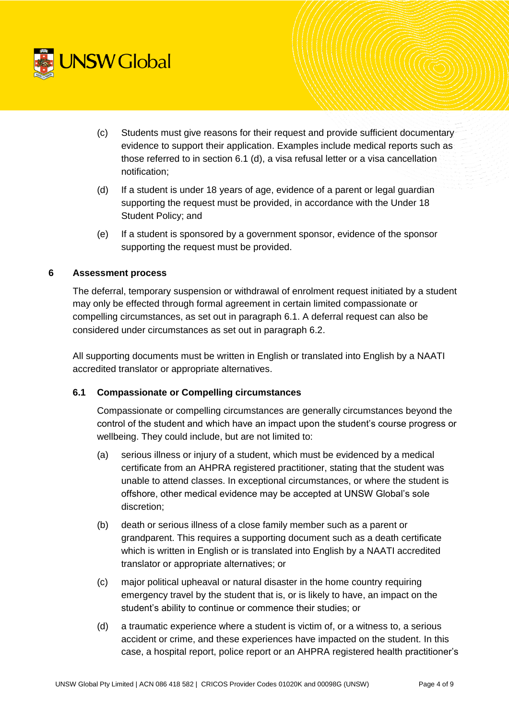

- (c) Students must give reasons for their request and provide sufficient documentary evidence to support their application. Examples include medical reports such as those referred to in section 6.1 (d), a visa refusal letter or a visa cancellation notification;
- (d) If a student is under 18 years of age, evidence of a parent or legal guardian supporting the request must be provided, in accordance with the Under 18 Student Policy; and
- (e) If a student is sponsored by a government sponsor, evidence of the sponsor supporting the request must be provided.

# **6 Assessment process**

The deferral, temporary suspension or withdrawal of enrolment request initiated by a student may only be effected through formal agreement in certain limited compassionate or compelling circumstances, as set out in paragraph 6.1. A deferral request can also be considered under circumstances as set out in paragraph 6.2.

All supporting documents must be written in English or translated into English by a NAATI accredited translator or appropriate alternatives.

# **6.1 Compassionate or Compelling circumstances**

Compassionate or compelling circumstances are generally circumstances beyond the control of the student and which have an impact upon the student's course progress or wellbeing. They could include, but are not limited to:

- (a) serious illness or injury of a student, which must be evidenced by a medical certificate from an AHPRA registered practitioner, stating that the student was unable to attend classes. In exceptional circumstances, or where the student is offshore, other medical evidence may be accepted at UNSW Global's sole discretion;
- (b) death or serious illness of a close family member such as a parent or grandparent. This requires a supporting document such as a death certificate which is written in English or is translated into English by a NAATI accredited translator or appropriate alternatives; or
- (c) major political upheaval or natural disaster in the home country requiring emergency travel by the student that is, or is likely to have, an impact on the student's ability to continue or commence their studies; or
- (d) a traumatic experience where a student is victim of, or a witness to, a serious accident or crime, and these experiences have impacted on the student. In this case, a hospital report, police report or an AHPRA registered health practitioner's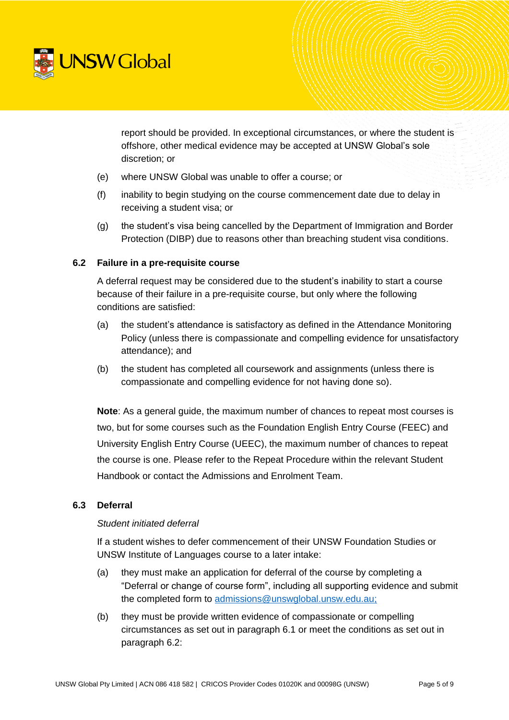

report should be provided. In exceptional circumstances, or where the student is offshore, other medical evidence may be accepted at UNSW Global's sole discretion; or

- (e) where UNSW Global was unable to offer a course; or
- (f) inability to begin studying on the course commencement date due to delay in receiving a student visa; or
- (g) the student's visa being cancelled by the Department of Immigration and Border Protection (DIBP) due to reasons other than breaching student visa conditions.

# **6.2 Failure in a pre-requisite course**

A deferral request may be considered due to the student's inability to start a course because of their failure in a pre-requisite course, but only where the following conditions are satisfied:

- (a) the student's attendance is satisfactory as defined in the Attendance Monitoring Policy (unless there is compassionate and compelling evidence for unsatisfactory attendance); and
- (b) the student has completed all coursework and assignments (unless there is compassionate and compelling evidence for not having done so).

**Note**: As a general guide, the maximum number of chances to repeat most courses is two, but for some courses such as the Foundation English Entry Course (FEEC) and University English Entry Course (UEEC), the maximum number of chances to repeat the course is one. Please refer to the Repeat Procedure within the relevant Student Handbook or contact the Admissions and Enrolment Team.

#### **6.3 Deferral**

#### *Student initiated deferral*

If a student wishes to defer commencement of their UNSW Foundation Studies or UNSW Institute of Languages course to a later intake:

- (a) they must make an application for deferral of the course by completing a "Deferral or change of course form", including all supporting evidence and submit the completed form to [admissions@unswglobal.unsw.edu.au;](mailto:admissions@unswglobal.unsw.edu.au)
- (b) they must be provide written evidence of compassionate or compelling circumstances as set out in paragraph 6.1 or meet the conditions as set out in paragraph 6.2: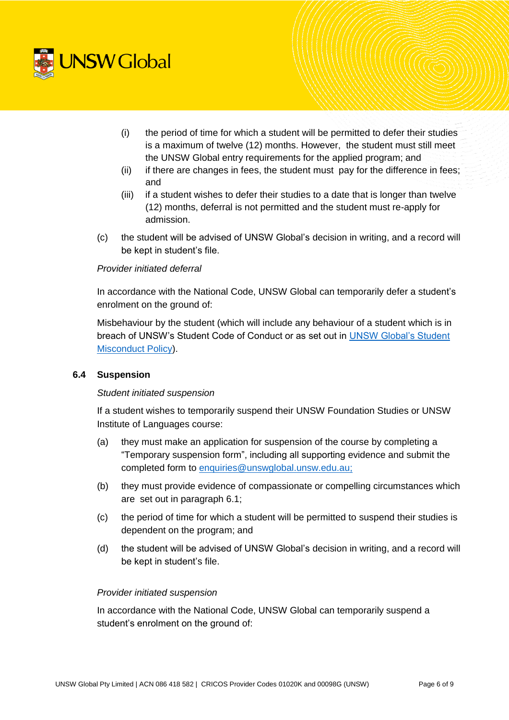

- (i) the period of time for which a student will be permitted to defer their studies is a maximum of twelve (12) months. However, the student must still meet the UNSW Global entry requirements for the applied program; and
- (ii) if there are changes in fees, the student must pay for the difference in fees; and
- (iii) if a student wishes to defer their studies to a date that is longer than twelve (12) months, deferral is not permitted and the student must re-apply for admission.
- (c) the student will be advised of UNSW Global's decision in writing, and a record will be kept in student's file.

### *Provider initiated deferral*

In accordance with the National Code, UNSW Global can temporarily defer a student's enrolment on the ground of:

Misbehaviour by the student (which will include any behaviour of a student which is in breach of UNSW's Student Code of Conduct or as set out in [UNSW Global's Student](https://intranet.unswglobal.unsw.edu.au/Policy/Policy/Student%20Misconduct%20Policy.pdf)  [Misconduct Policy\)](https://intranet.unswglobal.unsw.edu.au/Policy/Policy/Student%20Misconduct%20Policy.pdf).

# **6.4 Suspension**

# *Student initiated suspension*

If a student wishes to temporarily suspend their UNSW Foundation Studies or UNSW Institute of Languages course:

- (a) they must make an application for suspension of the course by completing a "Temporary suspension form", including all supporting evidence and submit the completed form to [enquiries@unswglobal.unsw.edu.au;](mailto:enquiries@unswglobal.unsw.edu.au)
- (b) they must provide evidence of compassionate or compelling circumstances which are set out in paragraph 6.1;
- (c) the period of time for which a student will be permitted to suspend their studies is dependent on the program; and
- (d) the student will be advised of UNSW Global's decision in writing, and a record will be kept in student's file.

#### *Provider initiated suspension*

In accordance with the National Code, UNSW Global can temporarily suspend a student's enrolment on the ground of: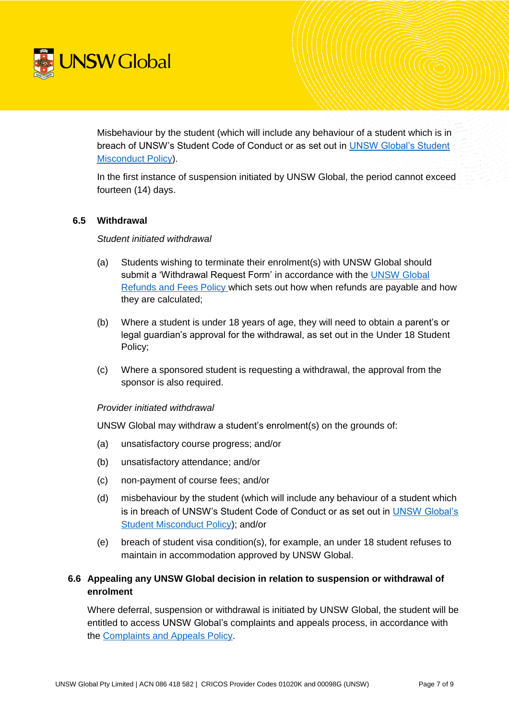

Misbehaviour by the student (which will include any behaviour of a student which is in breach of UNSW's Student Code of Conduct or as set out in [UNSW Global's Student](https://intranet.unswglobal.unsw.edu.au/Policy/Policy/Student%20Misconduct%20Policy.pdf)  [Misconduct Policy\)](https://intranet.unswglobal.unsw.edu.au/Policy/Policy/Student%20Misconduct%20Policy.pdf).

In the first instance of suspension initiated by UNSW Global, the period cannot exceed fourteen (14) days.

### **6.5 Withdrawal**

#### *Student initiated withdrawal*

- (a) Students wishing to terminate their enrolment(s) with UNSW Global should submit a 'Withdrawal Request Form' in accordance with the [UNSW Global](https://unswglobal.unsw.edu.au/documents/ESOS_PDF_Files/Refunds_and_Fees_Policy.pdf)  [Refunds and Fees Policy](https://unswglobal.unsw.edu.au/documents/ESOS_PDF_Files/Refunds_and_Fees_Policy.pdf) which sets out how when refunds are payable and how they are calculated;
- (b) Where a student is under 18 years of age, they will need to obtain a parent's or legal guardian's approval for the withdrawal, as set out in the Under 18 Student Policy;
- (c) Where a sponsored student is requesting a withdrawal, the approval from the sponsor is also required.

#### *Provider initiated withdrawal*

UNSW Global may withdraw a student's enrolment(s) on the grounds of:

- (a) unsatisfactory course progress; and/or
- (b) unsatisfactory attendance; and/or
- (c) non-payment of course fees; and/or
- (d) misbehaviour by the student (which will include any behaviour of a student which is in breach of UNSW's Student Code of Conduct or as set out in [UNSW Global's](https://intranet.unswglobal.unsw.edu.au/Policy/Policy/Student%20Misconduct%20Policy.pdf) [Student Misconduct Policy\)](https://intranet.unswglobal.unsw.edu.au/Policy/Policy/Student%20Misconduct%20Policy.pdf); and/or
- (e) breach of student visa condition(s), for example, an under 18 student refuses to maintain in accommodation approved by UNSW Global.

# **6.6 Appealing any UNSW Global decision in relation to suspension or withdrawal of enrolment**

Where deferral, suspension or withdrawal is initiated by UNSW Global, the student will be entitled to access UNSW Global's complaints and appeals process, in accordance with the [Complaints and Appeals Policy.](https://unswglobal.unsw.edu.au/documents/ESOS_PDF_Files/Complaints_and_Appeals_Policy.pdf)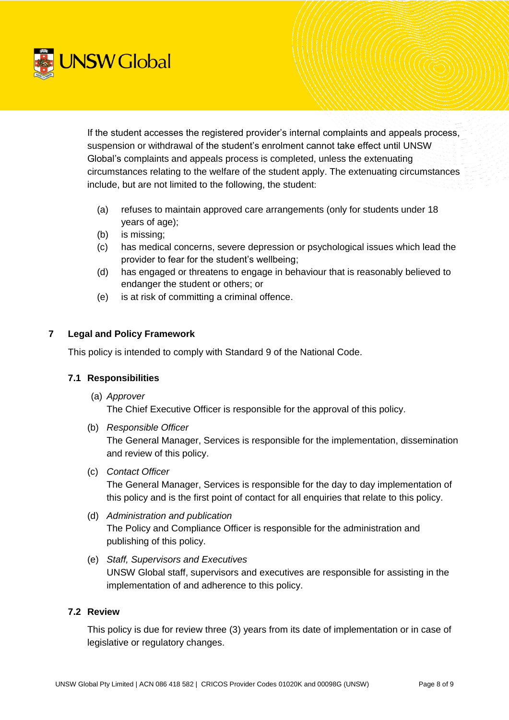

If the student accesses the registered provider's internal complaints and appeals process, suspension or withdrawal of the student's enrolment cannot take effect until UNSW Global's complaints and appeals process is completed, unless the extenuating circumstances relating to the welfare of the student apply. The extenuating circumstances include, but are not limited to the following, the student:

- (a) refuses to maintain approved care arrangements (only for students under 18 years of age);
- (b) is missing;
- (c) has medical concerns, severe depression or psychological issues which lead the provider to fear for the student's wellbeing;
- (d) has engaged or threatens to engage in behaviour that is reasonably believed to endanger the student or others; or
- (e) is at risk of committing a criminal offence.

# **7 Legal and Policy Framework**

This policy is intended to comply with Standard 9 of the National Code.

# **7.1 Responsibilities**

(a) *Approver*

The Chief Executive Officer is responsible for the approval of this policy.

(b) *Responsible Officer*

The General Manager, Services is responsible for the implementation, dissemination and review of this policy.

(c) *Contact Officer* 

The General Manager, Services is responsible for the day to day implementation of this policy and is the first point of contact for all enquiries that relate to this policy.

- (d) *Administration and publication*  The Policy and Compliance Officer is responsible for the administration and publishing of this policy.
- (e) *Staff, Supervisors and Executives* UNSW Global staff, supervisors and executives are responsible for assisting in the implementation of and adherence to this policy.

# **7.2 Review**

This policy is due for review three (3) years from its date of implementation or in case of legislative or regulatory changes.